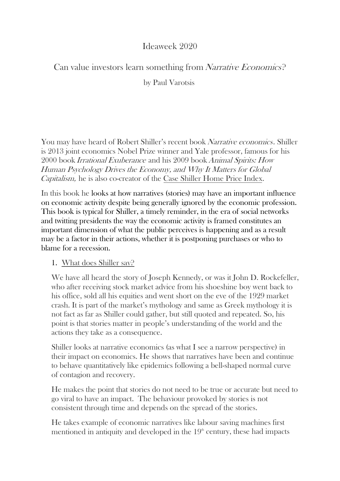# Ideaweek 2020

## Can value investors learn something from Narrative Economics?

#### by Paul Varotsis

You may have heard of Robert Shiller's recent book Narrative economics. Shiller is 2013 joint economics Nobel Prize winner and Yale professor, famous for his 2000 book Irrational Exuberance and his 2009 bookAnimal Spirits: How Human Psychology Drives the Economy, and Why It Matters for Global Capitalism, he is also co-creator of the Case Shiller Home Price Index.

In this book he looks at how narratives (stories) may have an important influence on economic activity despite being generally ignored by the economic profession. This book is typical for Shiller, a timely reminder, in the era of social networks and twitting presidents the way the economic activity is framed constitutes an important dimension of what the public perceives is happening and as a result may be a factor in their actions, whether it is postponing purchases or who to blame for a recession.

#### 1. What does Shiller say?

We have all heard the story of Joseph Kennedy, or was it John D. Rockefeller, who after receiving stock market advice from his shoeshine boy went back to his office, sold all his equities and went short on the eve of the 1929 market crash. It is part of the market's mythology and same as Greek mythology it is not fact as far as Shiller could gather, but still quoted and repeated. So, his point is that stories matter in people's understanding of the world and the actions they take as a consequence.

Shiller looks at narrative economics (as what I see a narrow perspective) in their impact on economics. He shows that narratives have been and continue to behave quantitatively like epidemics following a bell-shaped normal curve of contagion and recovery.

He makes the point that stories do not need to be true or accurate but need to go viral to have an impact. The behaviour provoked by stories is not consistent through time and depends on the spread of the stories.

He takes example of economic narratives like labour saving machines first mentioned in antiquity and developed in the  $19<sup>th</sup>$  century, these had impacts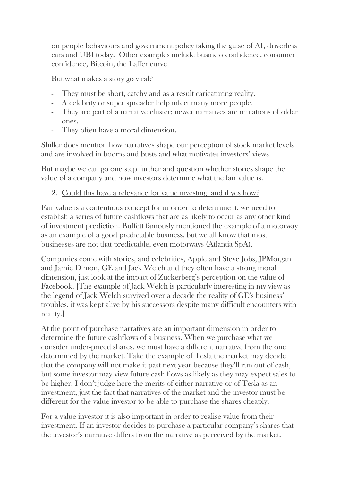on people behaviours and government policy taking the guise of AI, driverless cars and UBI today. Other examples include business confidence, consumer confidence, Bitcoin, the Laffer curve

But what makes a story go viral?

- They must be short, catchy and as a result caricaturing reality.
- A celebrity or super spreader help infect many more people.
- They are part of a narrative cluster; newer narratives are mutations of older ones.
- They often have a moral dimension.

Shiller does mention how narratives shape our perception of stock market levels and are involved in booms and busts and what motivates investors' views.

But maybe we can go one step further and question whether stories shape the value of a company and how investors determine what the fair value is.

### 2. Could this have a relevance for value investing, and if yes how?

Fair value is a contentious concept for in order to determine it, we need to establish a series of future cashflows that are as likely to occur as any other kind of investment prediction. Buffett famously mentioned the example of a motorway as an example of a good predictable business, but we all know that most businesses are not that predictable, even motorways (Atlantia SpA).

Companies come with stories, and celebrities, Apple and Steve Jobs, JPMorgan and Jamie Dimon, GE and Jack Welch and they often have a strong moral dimension, just look at the impact of Zuckerberg's perception on the value of Facebook. [The example of Jack Welch is particularly interesting in my view as the legend of Jack Welch survived over a decade the reality of GE's business' troubles, it was kept alive by his successors despite many difficult encounters with reality.]

At the point of purchase narratives are an important dimension in order to determine the future cashflows of a business. When we purchase what we consider under-priced shares, we must have a different narrative from the one determined by the market. Take the example of Tesla the market may decide that the company will not make it past next year because they'll run out of cash, but some investor may view future cash flows as likely as they may expect sales to be higher. I don't judge here the merits of either narrative or of Tesla as an investment, just the fact that narratives of the market and the investor must be different for the value investor to be able to purchase the shares cheaply.

For a value investor it is also important in order to realise value from their investment. If an investor decides to purchase a particular company's shares that the investor's narrative differs from the narrative as perceived by the market.